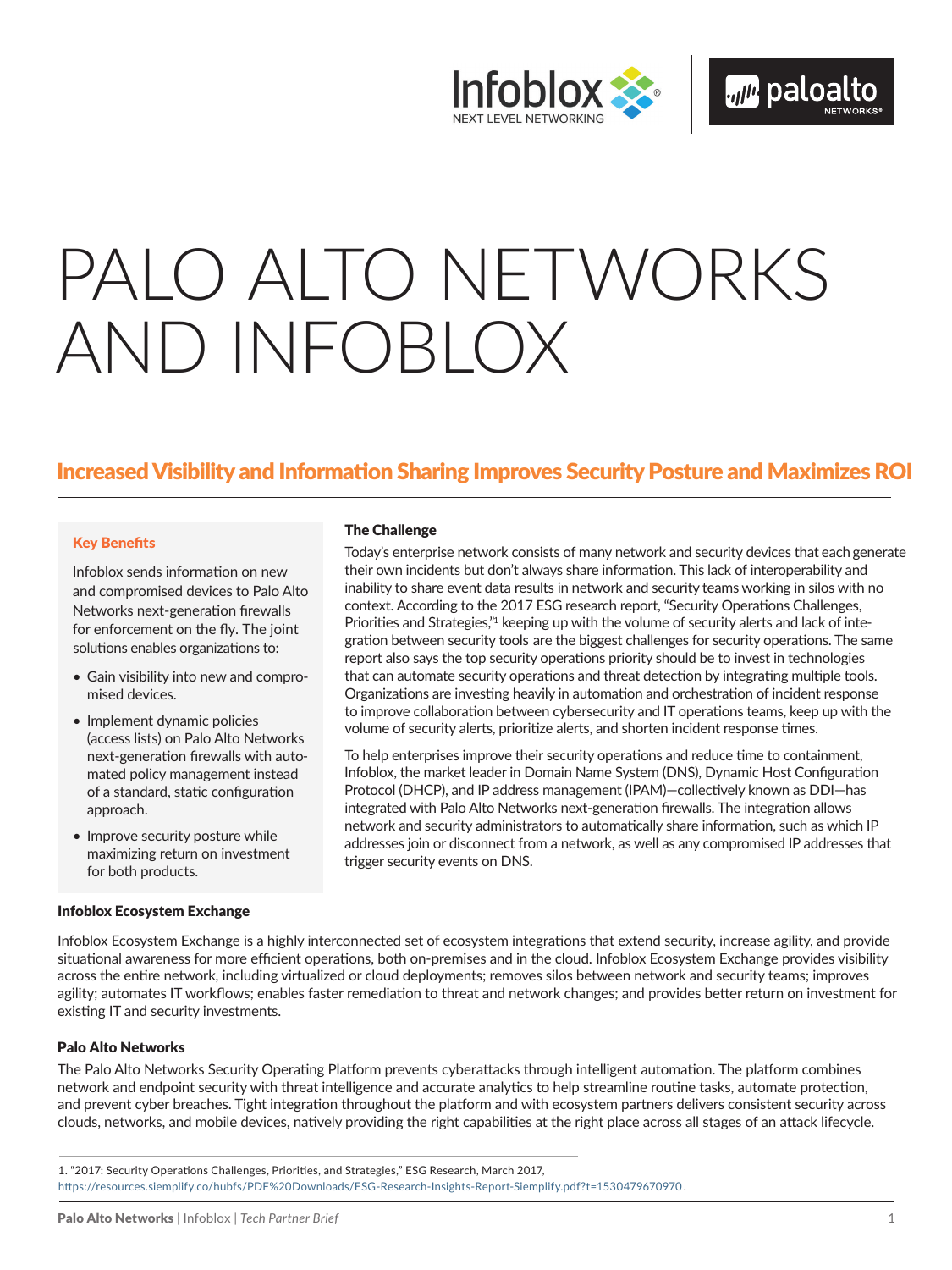

# PALO ALTO NETWORKS AND INFOBLOX

# Increased Visibility and Information Sharing Improves Security Posture and Maximizes ROI

#### Key Benefits

Infoblox sends information on new and compromised devices to Palo Alto Networks next-generation firewalls for enforcement on the fly. The joint solutions enables organizations to:

- Gain visibility into new and compromised devices.
- Implement dynamic policies (access lists) on Palo Alto Networks next-generation firewalls with automated policy management instead of a standard, static configuration approach.
- Improve security posture while maximizing return on investment for both products.

#### Infoblox Ecosystem Exchange

#### The Challenge

Today's enterprise network consists of many network and security devices that each generate their own incidents but don't always share information. This lack of interoperability and inability to share event data results in network and security teams working in silos with no context. According to the 2017 ESG research report, "Security Operations Challenges, Priorities and Strategies,"<sup>1</sup> keeping up with the volume of security alerts and lack of integration between security tools are the biggest challenges for security operations. The same report also says the top security operations priority should be to invest in technologies that can automate security operations and threat detection by integrating multiple tools. Organizations are investing heavily in automation and orchestration of incident response to improve collaboration between cybersecurity and IT operations teams, keep up with the volume of security alerts, prioritize alerts, and shorten incident response times.

To help enterprises improve their security operations and reduce time to containment, Infoblox, the market leader in Domain Name System (DNS), Dynamic Host Configuration Protocol (DHCP), and IP address management (IPAM)—collectively known as DDI—has integrated with Palo Alto Networks next-generation firewalls. The integration allows network and security administrators to automatically share information, such as which IP addresses join or disconnect from a network, as well as any compromised IP addresses that trigger security events on DNS.

Infoblox Ecosystem Exchange is a highly interconnected set of ecosystem integrations that extend security, increase agility, and provide situational awareness for more efficient operations, both on-premises and in the cloud. Infoblox Ecosystem Exchange provides visibility across the entire network, including virtualized or cloud deployments; removes silos between network and security teams; improves agility; automates IT workflows; enables faster remediation to threat and network changes; and provides better return on investment for existing IT and security investments.

#### Palo Alto Networks

The Palo Alto Networks Security Operating Platform prevents cyberattacks through intelligent automation. The platform combines network and endpoint security with threat intelligence and accurate analytics to help streamline routine tasks, automate protection, and prevent cyber breaches. Tight integration throughout the platform and with ecosystem partners delivers consistent security across clouds, networks, and mobile devices, natively providing the right capabilities at the right place across all stages of an attack lifecycle.

<sup>1. &</sup>quot;2017: Security Operations Challenges, Priorities, and Strategies," ESG Research, March 2017,

https:[//resources.siemplify.co/hubfs/PDF%20Downloads/ESG-Research-Insights-Report-Siemplify.pdf?t=1530479670970.](https://resources.siemplify.co/hubfs/PDF%20Downloads/ESG-Research-Insights-Report-Siemplify.pdf?t=1530479670970.)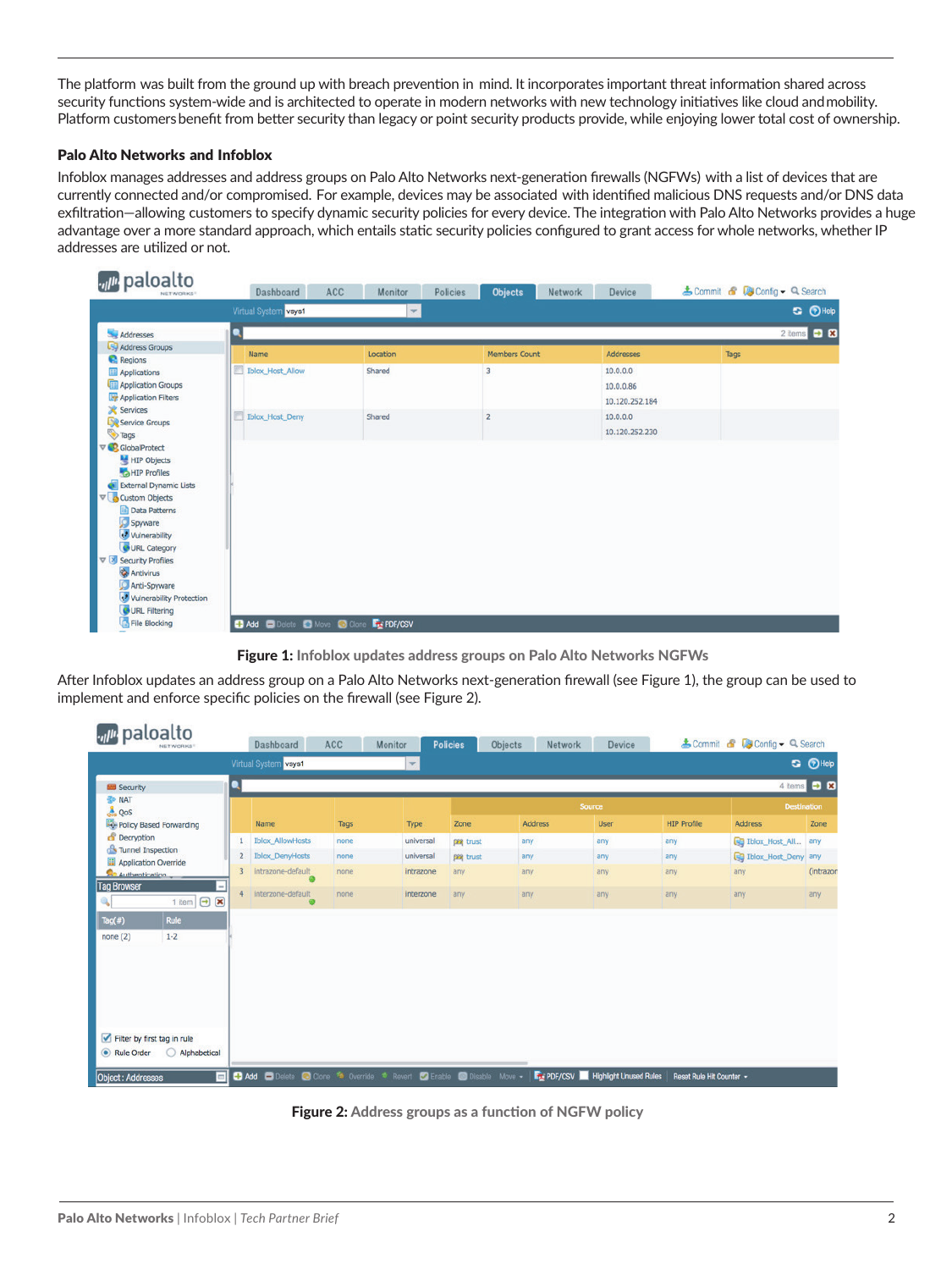The platform was built from the ground up with breach prevention in mind. It incorporates important threat information shared across security functions system-wide and is architected to operate in modern networks with new technology initiatives like cloud andmobility. Platform customersbenefit from better security than legacy or point security products provide, while enjoying lower total cost of ownership.

#### Palo Alto Networks and Infoblox

Infoblox manages addresses and address groups on Palo Alto Networks next-generation firewalls (NGFWs) with a list of devices that are currently connected and/or compromised. For example, devices may be associated with identified malicious DNS requests and/or DNS data exfiltration—allowing customers to specify dynamic security policies for every device. The integration with Palo Alto Networks provides a huge advantage over a more standard approach, which entails static security policies configured to grant access for whole networks, whether IP addresses are utilized or not.

| ul <sup>u</sup> paloalto<br>NETWORKS!                                                                                                                                                                                                                                                                | Dashboard                                                            | ACC<br>Monitor | <b>Objects</b><br>Network<br>Policies | Device                                  | & Commit & <b>Config - Q Search</b> |
|------------------------------------------------------------------------------------------------------------------------------------------------------------------------------------------------------------------------------------------------------------------------------------------------------|----------------------------------------------------------------------|----------------|---------------------------------------|-----------------------------------------|-------------------------------------|
|                                                                                                                                                                                                                                                                                                      | Virtual System vsys1                                                 | $\mathbf{v}$   |                                       |                                         | <b>S</b> <i>O</i> Help              |
| Addresses                                                                                                                                                                                                                                                                                            |                                                                      |                |                                       |                                         | $2$ items $\bigoplus$ $\bigotimes$  |
| Address Groups<br><b>C</b> Regions                                                                                                                                                                                                                                                                   | Name                                                                 | Location       | Members Count                         | <b>Addresses</b>                        | Tags                                |
| <b>Applications</b><br><b>Application Groups</b><br><b>Application Filters</b><br>Services                                                                                                                                                                                                           | n<br><b>Iblox_Host_Allow</b>                                         | Shared         | 3                                     | 10.0.0.0<br>10.0.0.86<br>10.120.252.184 |                                     |
| Service Groups<br>Tags                                                                                                                                                                                                                                                                               | <b>Iblox_Host_Deny</b>                                               | Shared         | $\overline{2}$                        | 10.0.0.0<br>10.120.252.230              |                                     |
| V C GlobalProtect<br>HIP Objects<br>HIP Profiles<br>External Dynamic Lists<br><b>v</b> Custom Objects<br>Data Patterns<br>Spyware<br>Vulnerability<br>URL Category<br>▽ Security Profiles<br><b>Antivirus</b><br>Anti-Spyware<br><b>v</b> Vulnerability Protection<br>URL Filtering<br>File Blocking | <b>H</b> Add <b>C</b> Delete <b>C</b> Move C Clone <b>Fx PDF/CSV</b> |                |                                       |                                         |                                     |
|                                                                                                                                                                                                                                                                                                      |                                                                      |                |                                       |                                         |                                     |

Figure 1: Infoblox updates address groups on Palo Alto Networks NGFWs

After Infoblox updates an address group on a Palo Alto Networks next-generation firewall (see Figure 1), the group can be used to implement and enforce specific policies on the firewall (see Figure 2).

| vil <sup>it</sup> paloalto<br>NETWORKS!                                                                                                  |                | Dashboard                                                                           | ACC  | Monitor                 | <b>Policies</b> | Objects<br>Network | Device                                     |                          | & Commit & Config + Q Search |                        |  |
|------------------------------------------------------------------------------------------------------------------------------------------|----------------|-------------------------------------------------------------------------------------|------|-------------------------|-----------------|--------------------|--------------------------------------------|--------------------------|------------------------------|------------------------|--|
|                                                                                                                                          |                | Virtual System vsys1                                                                |      | $\overline{\mathbf{v}}$ |                 |                    |                                            |                          |                              | <b>G</b> <i>O</i> Help |  |
| <b>Security</b>                                                                                                                          |                |                                                                                     |      |                         |                 |                    |                                            |                          |                              | 4 items <b>D R</b>     |  |
| <b>B</b> NAT<br><b>L</b> QoS                                                                                                             |                |                                                                                     |      |                         | Source          |                    |                                            |                          |                              | <b>Destination</b>     |  |
| Policy Based Forwarding                                                                                                                  |                | Name                                                                                | Tags | Type                    | Zone            | Address            | <b>User</b>                                | <b>HIP Profile</b>       | <b>Address</b>               | Zone                   |  |
| <b>B</b> Decryption                                                                                                                      | 1              | <b>Iblox_AllowHosts</b>                                                             | none | universal               | pm trust        | any                | any                                        | any                      | <b>B</b> Iblox_Host_All      | any                    |  |
| Tunnel Inspection<br>Application Override<br><b>Authentication</b><br><b>Tag Browser</b><br>1 item $\boxed{\rightarrow}$ $\boxed{\star}$ | $\overline{2}$ | <b>Iblox DenyHosts</b>                                                              | none | universal               | pra trust       | any                | any                                        | any                      | <b>Q</b> Iblox_Host_Deny any |                        |  |
|                                                                                                                                          | $\overline{3}$ | intrazone-default                                                                   | none | intrazone               | any             | any                | any                                        | any                      | any                          | (intrazon              |  |
|                                                                                                                                          | 4              | interzone-default<br>$\bullet$                                                      | none | interzone               | any             | any                | any                                        | any                      | any                          | any                    |  |
| Tag(#)<br><b>Rule</b>                                                                                                                    |                |                                                                                     |      |                         |                 |                    |                                            |                          |                              |                        |  |
| none(2)<br>$1 - 2$                                                                                                                       |                |                                                                                     |      |                         |                 |                    |                                            |                          |                              |                        |  |
|                                                                                                                                          |                |                                                                                     |      |                         |                 |                    |                                            |                          |                              |                        |  |
|                                                                                                                                          |                |                                                                                     |      |                         |                 |                    |                                            |                          |                              |                        |  |
|                                                                                                                                          |                |                                                                                     |      |                         |                 |                    |                                            |                          |                              |                        |  |
|                                                                                                                                          |                |                                                                                     |      |                         |                 |                    |                                            |                          |                              |                        |  |
| Filter by first tag in rule                                                                                                              |                |                                                                                     |      |                         |                 |                    |                                            |                          |                              |                        |  |
| Rule Order<br>Alphabetical<br>◯                                                                                                          |                |                                                                                     |      |                         |                 |                    |                                            |                          |                              |                        |  |
| ыI<br>Object : Addresses                                                                                                                 |                | <b>Add</b> Delete C Clone <sup>**</sup> Override * Revert C Enable C Disable Move - |      |                         |                 |                    | <b>Free PDF/CSV Highlight Unused Rules</b> | Reset Rule Hit Counter + |                              |                        |  |

Figure 2: Address groups as a function of NGFW policy